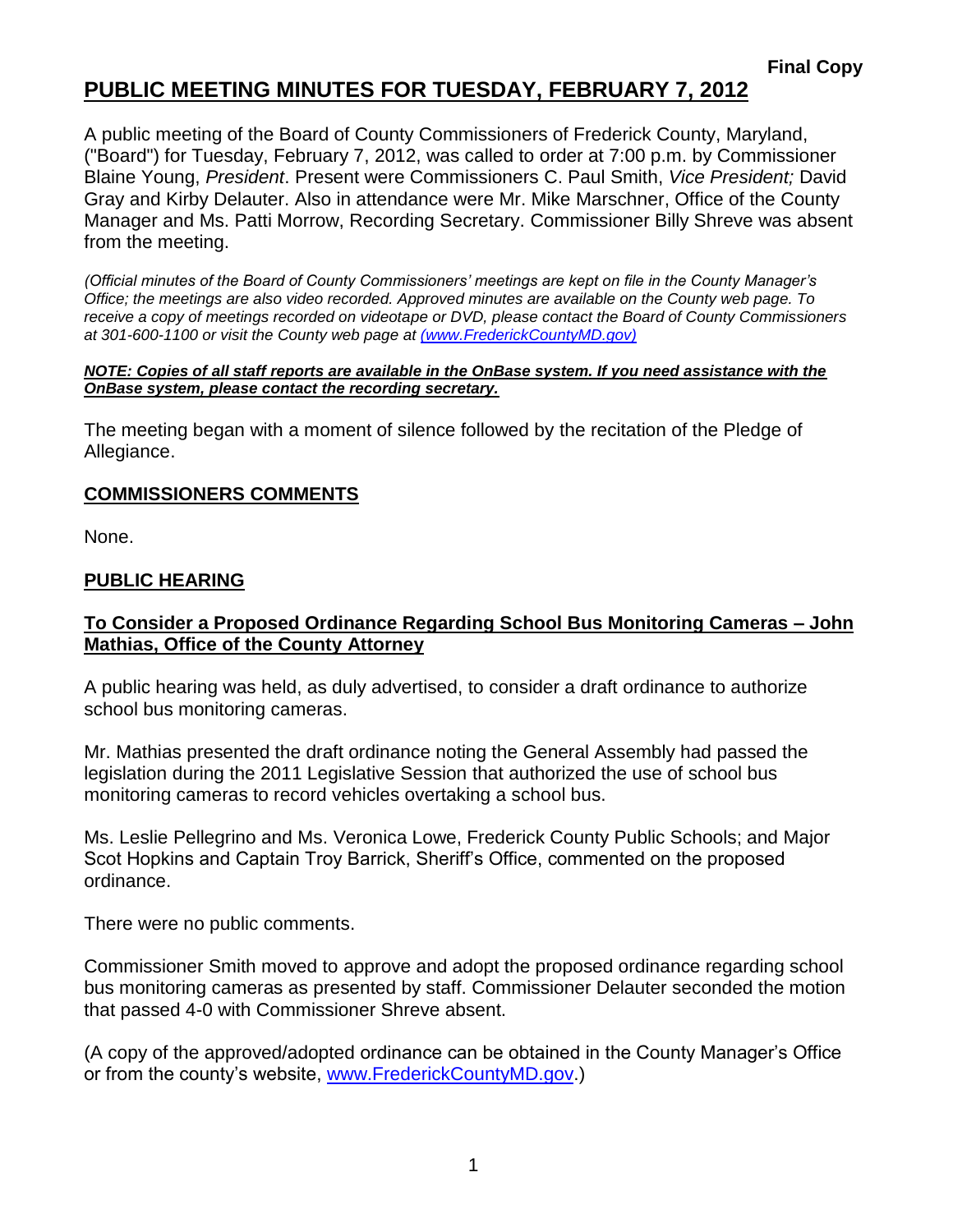## **PUBLIC MEETING MINUTES FOR TUESDAY, FEBRUARY 7, 2012**

A public meeting of the Board of County Commissioners of Frederick County, Maryland, ("Board") for Tuesday, February 7, 2012, was called to order at 7:00 p.m. by Commissioner Blaine Young, *President*. Present were Commissioners C. Paul Smith, *Vice President;* David Gray and Kirby Delauter. Also in attendance were Mr. Mike Marschner, Office of the County Manager and Ms. Patti Morrow, Recording Secretary. Commissioner Billy Shreve was absent from the meeting.

*(Official minutes of the Board of County Commissioners' meetings are kept on file in the County Manager's Office; the meetings are also video recorded. Approved minutes are available on the County web page. To receive a copy of meetings recorded on videotape or DVD, please contact the Board of County Commissioners at 301-600-1100 or visit the County web page at [\(www.FrederickCountyMD.gov\)](file://NT1S5/BOCC/BOCC/BOCC%20Minutes/Patti)*

#### *NOTE: Copies of all staff reports are available in the OnBase system. If you need assistance with the OnBase system, please contact the recording secretary.*

The meeting began with a moment of silence followed by the recitation of the Pledge of Allegiance.

#### **COMMISSIONERS COMMENTS**

None.

#### **PUBLIC HEARING**

#### **To Consider a Proposed Ordinance Regarding School Bus Monitoring Cameras – John Mathias, Office of the County Attorney**

A public hearing was held, as duly advertised, to consider a draft ordinance to authorize school bus monitoring cameras.

Mr. Mathias presented the draft ordinance noting the General Assembly had passed the legislation during the 2011 Legislative Session that authorized the use of school bus monitoring cameras to record vehicles overtaking a school bus.

Ms. Leslie Pellegrino and Ms. Veronica Lowe, Frederick County Public Schools; and Major Scot Hopkins and Captain Troy Barrick, Sheriff's Office, commented on the proposed ordinance.

There were no public comments.

Commissioner Smith moved to approve and adopt the proposed ordinance regarding school bus monitoring cameras as presented by staff. Commissioner Delauter seconded the motion that passed 4-0 with Commissioner Shreve absent.

(A copy of the approved/adopted ordinance can be obtained in the County Manager's Office or from the county's website, [www.FrederickCountyMD.gov.](http://www.frederickcountymd.gov/))